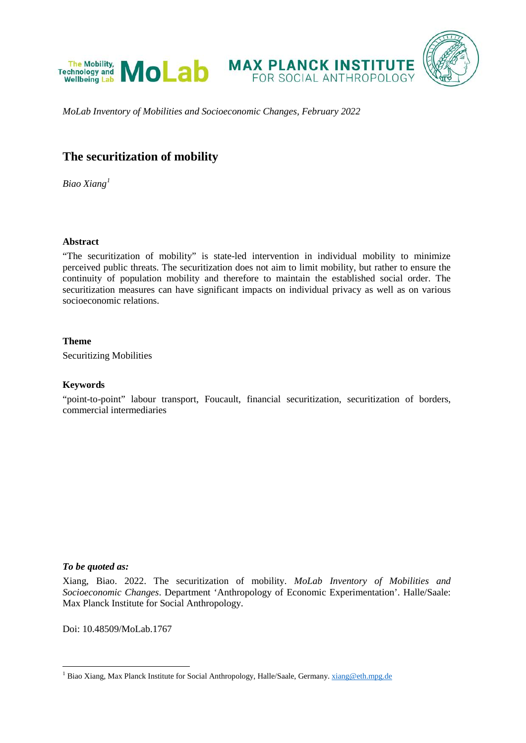

*MoLab Inventory of Mobilities and Socioeconomic Changes, February 2022*

# **The securitization of mobility**

*Biao Xiang[1](#page-0-0)*

## **Abstract**

"The securitization of mobility" is state-led intervention in individual mobility to minimize perceived public threats. The securitization does not aim to limit mobility, but rather to ensure the continuity of population mobility and therefore to maintain the established social order. The securitization measures can have significant impacts on individual privacy as well as on various socioeconomic relations.

## **Theme**

Securitizing Mobilities

# **Keywords**

"point-to-point" labour transport, Foucault, financial securitization, securitization of borders, commercial intermediaries

## *To be quoted as:*

Xiang, Biao. 2022. The securitization of mobility. *MoLab Inventory of Mobilities and Socioeconomic Changes*. Department 'Anthropology of Economic Experimentation'. Halle/Saale: Max Planck Institute for Social Anthropology.

Doi: 10.48509/MoLab.1767

<span id="page-0-1"></span><span id="page-0-0"></span><sup>&</sup>lt;sup>1</sup> Biao Xiang, Max Planck Institute for Social Anthropology, Halle/Saale, Germany[. xiang@eth.mpg.de](mailto:xiang@eth.mpg.de)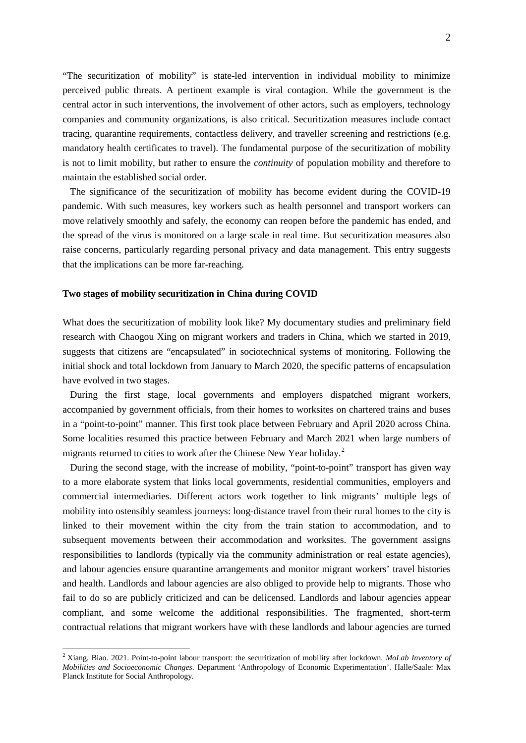"The securitization of mobility" is state-led intervention in individual mobility to minimize perceived public threats. A pertinent example is viral contagion. While the government is the central actor in such interventions, the involvement of other actors, such as employers, technology companies and community organizations, is also critical. Securitization measures include contact tracing, quarantine requirements, contactless delivery, and traveller screening and restrictions (e.g. mandatory health certificates to travel). The fundamental purpose of the securitization of mobility is not to limit mobility, but rather to ensure the *continuity* of population mobility and therefore to maintain the established social order.

The significance of the securitization of mobility has become evident during the COVID-19 pandemic. With such measures, key workers such as health personnel and transport workers can move relatively smoothly and safely, the economy can reopen before the pandemic has ended, and the spread of the virus is monitored on a large scale in real time. But securitization measures also raise concerns, particularly regarding personal privacy and data management. This entry suggests that the implications can be more far-reaching.

#### **Two stages of mobility securitization in China during COVID**

What does the securitization of mobility look like? My documentary studies and preliminary field research with Chaogou Xing on migrant workers and traders in China, which we started in 2019, suggests that citizens are "encapsulated" in sociotechnical systems of monitoring. Following the initial shock and total lockdown from January to March 2020, the specific patterns of encapsulation have evolved in two stages.

During the first stage, local governments and employers dispatched migrant workers, accompanied by government officials, from their homes to worksites on chartered trains and buses in a "point-to-point" manner. This first took place between February and April 2020 across China. Some localities resumed this practice between February and March 2021 when large numbers of migrants returned to cities to work after the Chinese New Year holiday. [2](#page-0-1)

During the second stage, with the increase of mobility, "point-to-point" transport has given way to a more elaborate system that links local governments, residential communities, employers and commercial intermediaries. Different actors work together to link migrants' multiple legs of mobility into ostensibly seamless journeys: long-distance travel from their rural homes to the city is linked to their movement within the city from the train station to accommodation, and to subsequent movements between their accommodation and worksites. The government assigns responsibilities to landlords (typically via the community administration or real estate agencies), and labour agencies ensure quarantine arrangements and monitor migrant workers' travel histories and health. Landlords and labour agencies are also obliged to provide help to migrants. Those who fail to do so are publicly criticized and can be delicensed. Landlords and labour agencies appear compliant, and some welcome the additional responsibilities. The fragmented, short-term contractual relations that migrant workers have with these landlords and labour agencies are turned

<span id="page-1-0"></span> <sup>2</sup> Xiang, Biao. 2021. Point-to-point labour transport: the securitization of mobility after lockdown. *MoLab Inventory of Mobilities and Socioeconomic Changes*. Department 'Anthropology of Economic Experimentation'. Halle/Saale: Max Planck Institute for Social Anthropology.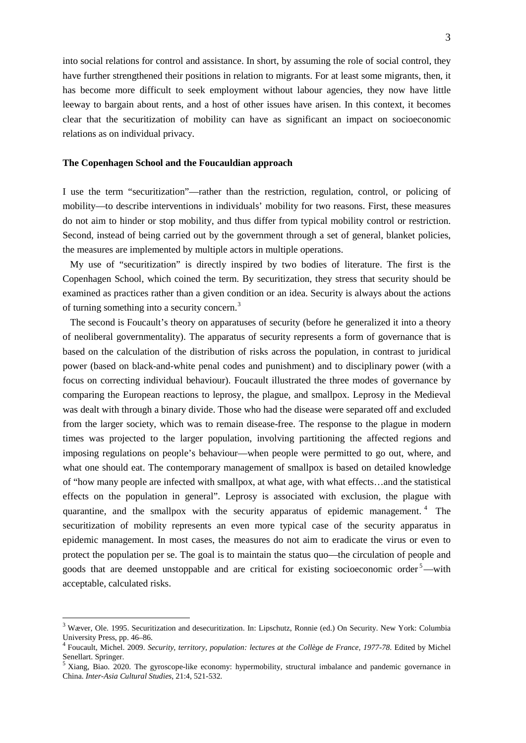into social relations for control and assistance. In short, by assuming the role of social control, they have further strengthened their positions in relation to migrants. For at least some migrants, then, it has become more difficult to seek employment without labour agencies, they now have little leeway to bargain about rents, and a host of other issues have arisen. In this context, it becomes clear that the securitization of mobility can have as significant an impact on socioeconomic relations as on individual privacy.

#### **The Copenhagen School and the Foucauldian approach**

I use the term "securitization"—rather than the restriction, regulation, control, or policing of mobility—to describe interventions in individuals' mobility for two reasons. First, these measures do not aim to hinder or stop mobility, and thus differ from typical mobility control or restriction. Second, instead of being carried out by the government through a set of general, blanket policies, the measures are implemented by multiple actors in multiple operations.

My use of "securitization" is directly inspired by two bodies of literature. The first is the Copenhagen School, which coined the term. By securitization, they stress that security should be examined as practices rather than a given condition or an idea. Security is always about the actions of turning something into a security concern.[3](#page-1-0)

The second is Foucault's theory on apparatuses of security (before he generalized it into a theory of neoliberal governmentality). The apparatus of security represents a form of governance that is based on the calculation of the distribution of risks across the population, in contrast to juridical power (based on black-and-white penal codes and punishment) and to disciplinary power (with a focus on correcting individual behaviour). Foucault illustrated the three modes of governance by comparing the European reactions to leprosy, the plague, and smallpox. Leprosy in the Medieval was dealt with through a binary divide. Those who had the disease were separated off and excluded from the larger society, which was to remain disease-free. The response to the plague in modern times was projected to the larger population, involving partitioning the affected regions and imposing regulations on people's behaviour—when people were permitted to go out, where, and what one should eat. The contemporary management of smallpox is based on detailed knowledge of "how many people are infected with smallpox, at what age, with what effects…and the statistical effects on the population in general". Leprosy is associated with exclusion, the plague with quarantine, and the smallpox with the security apparatus of epidemic management. [4](#page-2-0) The securitization of mobility represents an even more typical case of the security apparatus in epidemic management. In most cases, the measures do not aim to eradicate the virus or even to protect the population per se. The goal is to maintain the status quo—the circulation of people and goods that are deemed unstoppable and are critical for existing socioeconomic order<sup>[5](#page-2-1)</sup>—with acceptable, calculated risks.

<sup>&</sup>lt;sup>3</sup> Wæver, Ole. 1995. Securitization and desecuritization. In: Lipschutz, Ronnie (ed.) On Security. New York: Columbia University Press, pp. 46–86.

<span id="page-2-2"></span><span id="page-2-0"></span><sup>&</sup>lt;sup>4</sup> Foucault, Michel. 2009. *Security, territory, population: lectures at the Collège de France, 1977-78*. Edited by Michel Senellart. Springer.

<span id="page-2-1"></span><sup>&</sup>lt;sup>5</sup> Xiang, Biao. 2020. The gyroscope-like economy: hypermobility, structural imbalance and pandemic governance in China. *Inter-Asia Cultural Studies*, 21:4, 521-532.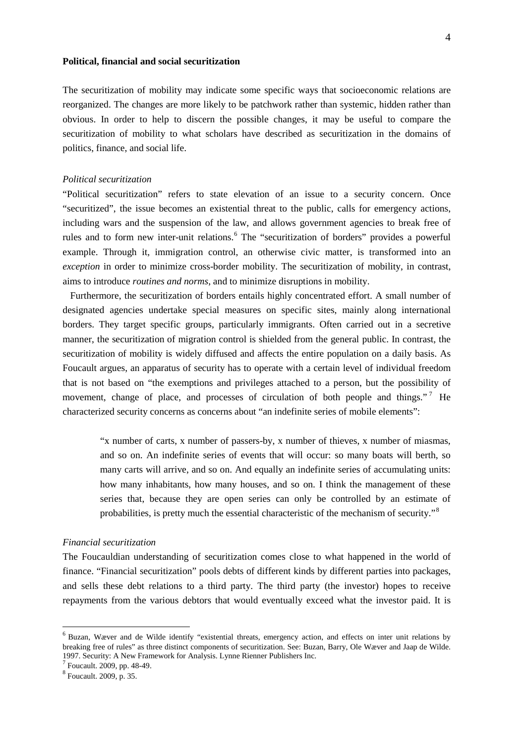#### **Political, financial and social securitization**

The securitization of mobility may indicate some specific ways that socioeconomic relations are reorganized. The changes are more likely to be patchwork rather than systemic, hidden rather than obvious. In order to help to discern the possible changes, it may be useful to compare the securitization of mobility to what scholars have described as securitization in the domains of politics, finance, and social life.

## *Political securitization*

"Political securitization" refers to state elevation of an issue to a security concern. Once "securitized", the issue becomes an existential threat to the public, calls for emergency actions, including wars and the suspension of the law, and allows government agencies to break free of rules and to form new inter-unit relations.<sup>[6](#page-2-2)</sup> The "securitization of borders" provides a powerful example. Through it, immigration control, an otherwise civic matter, is transformed into an *exception* in order to minimize cross-border mobility. The securitization of mobility, in contrast, aims to introduce *routines and norms*, and to minimize disruptions in mobility.

Furthermore, the securitization of borders entails highly concentrated effort. A small number of designated agencies undertake special measures on specific sites, mainly along international borders. They target specific groups, particularly immigrants. Often carried out in a secretive manner, the securitization of migration control is shielded from the general public. In contrast, the securitization of mobility is widely diffused and affects the entire population on a daily basis. As Foucault argues, an apparatus of security has to operate with a certain level of individual freedom that is not based on "the exemptions and privileges attached to a person, but the possibility of movement, change of place, and processes of circulation of both people and things."<sup>[7](#page-3-0)</sup> He characterized security concerns as concerns about "an indefinite series of mobile elements":

"x number of carts, x number of passers-by, x number of thieves, x number of miasmas, and so on. An indefinite series of events that will occur: so many boats will berth, so many carts will arrive, and so on. And equally an indefinite series of accumulating units: how many inhabitants, how many houses, and so on. I think the management of these series that, because they are open series can only be controlled by an estimate of probabilities, is pretty much the essential characteristic of the mechanism of security."[8](#page-3-1)

#### *Financial securitization*

<span id="page-3-2"></span>The Foucauldian understanding of securitization comes close to what happened in the world of finance. "Financial securitization" pools debts of different kinds by different parties into packages, and sells these debt relations to a third party. The third party (the investor) hopes to receive repayments from the various debtors that would eventually exceed what the investor paid. It is

 <sup>6</sup> Buzan, Wæver and de Wilde identify "existential threats, emergency action, and effects on inter unit relations by breaking free of rules" as three distinct components of securitization. See: Buzan, Barry, Ole Wæver and Jaap de Wilde. 1997. Security: A New Framework for Analysis. Lynne Rienner Publishers Inc.  $\frac{7}{8}$  Foucault. 2009, p. 35.

<span id="page-3-0"></span>

<span id="page-3-1"></span>